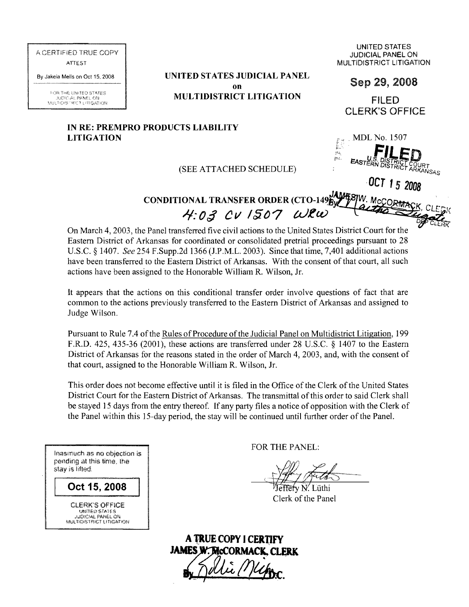AGERTiFiEO TRUE COPY ATTEST

By Jakeia Mells on Oct 15, 2008

FOR THE UNITED STATES JUCIAL PANEL ON<br>MULTIDISTRICT LITIGATION **UNITED STATES JUDICIAL PANEL on** Sep 29,2008 **MULTIDISTRICT LITIGATION** FILED

UNITED STATES JUDICIAL PANEL ON **MULTIDISTRICT LITIGATION** 

CLERK'S OFFICE

MDL No. 1507

## **IN RE: PREMPRO PRODUCTS LIABILITY LITIGATION**

## $(SEE \text{ ATTACHED SCHEDULE})$   $=$   $E_{\text{ASTE}}$

*,OCT* 15 *2008* 

**CONDITIONAL TRANSFER ORDER (CTO-149BY W. McCOR**  $4:03$  CV 1507 WRW

On March 4, 2003, the Panel transferred five civil actions to the United States District Court for the Eastern District of Arkansas for coordinated or consolidated pretrial proceedings pursuant to 28 U.S.c. § 1407. *See* 254 F.Supp.2d 1366 (J.P.M.L. 2003). Since that time, 7,401 additional actions have been transferred to the Eastern District of Arkansas. With the consent of that court, all such actions have been assigned to the Honorable William R. Wilson, Jr.

It appears that the actions on this conditional transfer order involve questions of fact that are common to the actions previously transferred to the Eastern District of Arkansas and assigned to Judge Wilson.

Pursuant to Rule 7.4 of the Rules of Procedure of the Judicial Panel on Multidistrict Litigation, 199 F.R.D. 425, 435-36 (2001), these actions are transferred under 28 U.S.c. § 1407 to the Eastern District of Arkansas for the reasons stated in the order of March 4, 2003, and, with the consent of that court, assigned to the Honorable William R. Wilson, Jr.

This order does not become effective until it is filed in the Office of the Clerk of the United States District Court for the Eastern District of Arkansas. The transmittal of this order to said Clerk shall be stayed 15 days from the entry thereof. If any party files a notice of opposition with the Clerk of the Panel within this IS-day period, the stay will be continued until further order of the Panel.

Inasmuch as no objection is pending at this time, the stay is lifted.

Oct 15, 2008

CLERK'S OFFiCE **UDICIAL PANEL ON MULTIDISTRICT LITIGATION**  FOR THE PANEL:

leffery N. Lüthi Clerk of the Panel